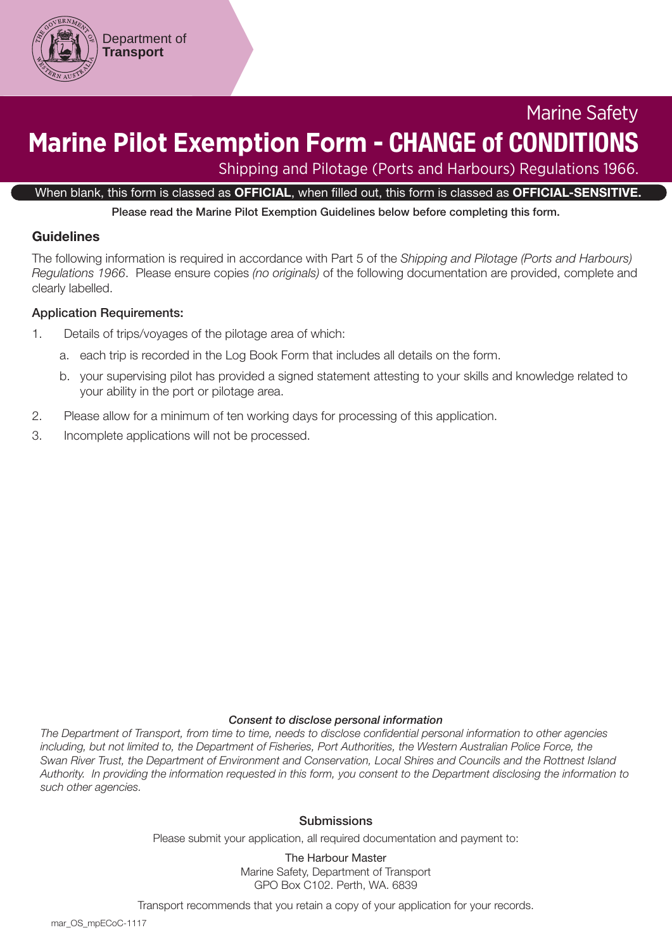

# Marine Safety **Marine Pilot Exemption Form -** CHANGE of CONDITIONS

Shipping and Pilotage (Ports and Harbours) Regulations 1966.

When blank, this form is classed as OFFICIAL, when filled out, this form is classed as OFFICIAL-SENSITIVE.

Please read the Marine Pilot Exemption Guidelines below before completing this form.

#### Guidelines

The following information is required in accordance with Part 5 of the *Shipping and Pilotage (Ports and Harbours) Regulations 1966*. Please ensure copies *(no originals)* of the following documentation are provided, complete and clearly labelled.

#### Application Requirements:

- 1. Details of trips/voyages of the pilotage area of which:
	- a. each trip is recorded in the Log Book Form that includes all details on the form.
	- b. your supervising pilot has provided a signed statement attesting to your skills and knowledge related to your ability in the port or pilotage area.
- 2. Please allow for a minimum of ten working days for processing of this application.
- 3. Incomplete applications will not be processed.

#### *Consent to disclose personal information*

*The Department of Transport, from time to time, needs to disclose confidential personal information to other agencies including, but not limited to, the Department of Fisheries, Port Authorities, the Western Australian Police Force, the Swan River Trust, the Department of Environment and Conservation, Local Shires and Councils and the Rottnest Island Authority. In providing the information requested in this form, you consent to the Department disclosing the information to such other agencies.*

#### **Submissions**

Please submit your application, all required documentation and payment to:

The Harbour Master Marine Safety, Department of Transport GPO Box C102. Perth, WA. 6839

Transport recommends that you retain a copy of your application for your records.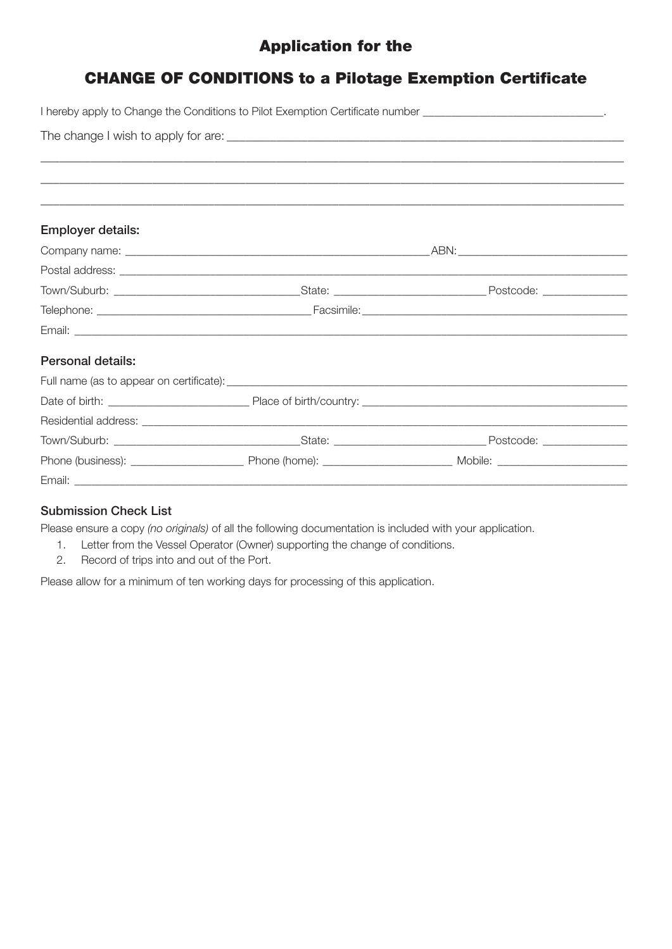## Application for the

## CHANGE OF CONDITIONS to a Pilotage Exemption Certificate

|                          | I hereby apply to Change the Conditions to Pilot Exemption Certificate number ________________________________ |  |
|--------------------------|----------------------------------------------------------------------------------------------------------------|--|
|                          |                                                                                                                |  |
|                          |                                                                                                                |  |
|                          |                                                                                                                |  |
|                          |                                                                                                                |  |
|                          |                                                                                                                |  |
| <b>Employer details:</b> |                                                                                                                |  |
|                          |                                                                                                                |  |
|                          |                                                                                                                |  |
|                          |                                                                                                                |  |
|                          |                                                                                                                |  |
|                          |                                                                                                                |  |
| Personal details:        |                                                                                                                |  |
|                          |                                                                                                                |  |
|                          |                                                                                                                |  |
|                          |                                                                                                                |  |
|                          |                                                                                                                |  |
|                          |                                                                                                                |  |
|                          |                                                                                                                |  |

### Submission Check List

Please ensure a copy *(no originals)* of all the following documentation is included with your application.

- 1. Letter from the Vessel Operator (Owner) supporting the change of conditions.
- 2. Record of trips into and out of the Port.

Please allow for a minimum of ten working days for processing of this application.